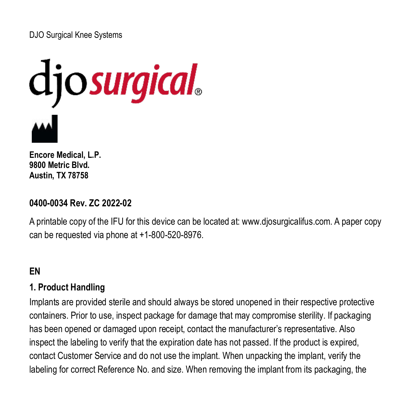# DJO Surgical Knee Systems



**Encore Medical, L.P. 9800 Metric Blvd. Austin, TX 78758**

# **0400-0034 Rev. ZC 2022-02**

A printable copy of the IFU for this device can be located at: www.djosurgicalifus.com. A paper copy can be requested via phone at +1-800-520-8976.

# **EN**

#### **1. Product Handling**

Implants are provided sterile and should always be stored unopened in their respective protective containers. Prior to use, inspect package for damage that may compromise sterility. If packaging has been opened or damaged upon receipt, contact the manufacturer's representative. Also inspect the labeling to verify that the expiration date has not passed. If the product is expired, contact Customer Service and do not use the implant. When unpacking the implant, verify the labeling for correct Reference No. and size. When removing the implant from its packaging, the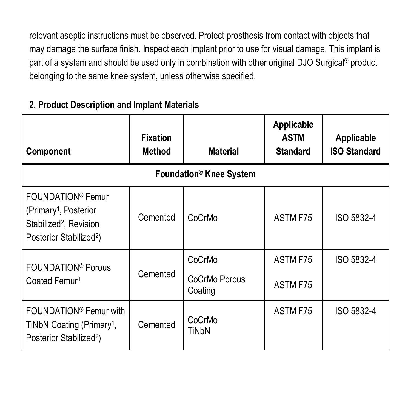relevant aseptic instructions must be observed. Protect prosthesis from contact with objects that may damage the surface finish. Inspect each implant prior to use for visual damage. This implant is part of a system and should be used only in combination with other original DJO Surgical® product belonging to the same knee system, unless otherwise specified.

| Component                                                                                                                                       | <b>Fixation</b><br>Method | <b>Material</b>                     | Applicable<br><b>ASTM</b><br><b>Standard</b> | Applicable<br><b>ISO Standard</b> |
|-------------------------------------------------------------------------------------------------------------------------------------------------|---------------------------|-------------------------------------|----------------------------------------------|-----------------------------------|
|                                                                                                                                                 |                           | Foundation <sup>®</sup> Knee System |                                              |                                   |
| FOUNDATION <sup>®</sup> Femur<br>(Primary <sup>1</sup> , Posterior<br>Stabilized <sup>2</sup> , Revision<br>Posterior Stabilized <sup>2</sup> ) | Cemented                  | CoCrMo                              | ASTM F75                                     | ISO 5832-4                        |
| FOUNDATION <sup>®</sup> Porous                                                                                                                  |                           | CoCrMo                              | ASTM F75                                     | ISO 5832-4                        |
| Coated Femur <sup>1</sup>                                                                                                                       | Cemented                  | CoCrMo Porous<br>Coating            | ASTM F75                                     |                                   |
| FOUNDATION <sup>®</sup> Femur with<br>TiNbN Coating (Primary <sup>1</sup> ,<br>Posterior Stabilized <sup>2</sup> )                              | Cemented                  | CoCrMo<br><b>TiNbN</b>              | ASTM F75                                     | ISO 5832-4                        |

# **2. Product Description and Implant Materials**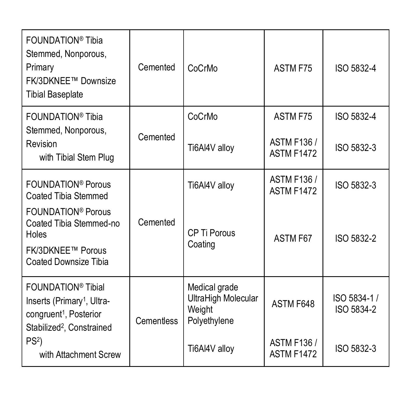| FOUNDATION <sup>®</sup> Tibia<br>Stemmed, Nonporous,<br>Primary<br>FK/3DKNEE™ Downsize<br><b>Tibial Baseplate</b>                                       | Cemented          | CoCrMo                                                         | ASTM F75                                | ISO 5832-4                 |
|---------------------------------------------------------------------------------------------------------------------------------------------------------|-------------------|----------------------------------------------------------------|-----------------------------------------|----------------------------|
| FOUNDATION® Tibia<br>Stemmed, Nonporous,                                                                                                                |                   | CoCrMo                                                         | ASTM F75                                | ISO 5832-4                 |
| Revision<br>with Tibial Stem Plug                                                                                                                       | Cemented          | Ti6Al4V alloy                                                  | <b>ASTM F136 /</b><br><b>ASTM F1472</b> | ISO 5832-3                 |
| FOUNDATION <sup>®</sup> Porous<br>Coated Tibia Stemmed                                                                                                  |                   | Ti6Al4V alloy                                                  | <b>ASTM F136 /</b><br><b>ASTM F1472</b> | ISO 5832-3                 |
| FOUNDATION <sup>®</sup> Porous<br>Coated Tibia Stemmed-no<br>Holes                                                                                      | Cemented          | CP Ti Porous                                                   | ASTM F67                                | ISO 5832-2                 |
| <b>FK/3DKNEE™ Porous</b><br>Coated Downsize Tibia                                                                                                       |                   | Coating                                                        |                                         |                            |
| FOUNDATION <sup>®</sup> Tibial<br>Inserts (Primary <sup>1</sup> , Ultra-<br>congruent <sup>1</sup> , Posterior<br>Stabilized <sup>2</sup> , Constrained | <b>Cementless</b> | Medical grade<br>UltraHigh Molecular<br>Weight<br>Polyethylene | ASTM F648                               | ISO 5834-1 /<br>ISO 5834-2 |
| PS <sup>2</sup><br>with Attachment Screw                                                                                                                |                   | Ti6Al4V alloy                                                  | <b>ASTM F136 /</b><br><b>ASTM F1472</b> | ISO 5832-3                 |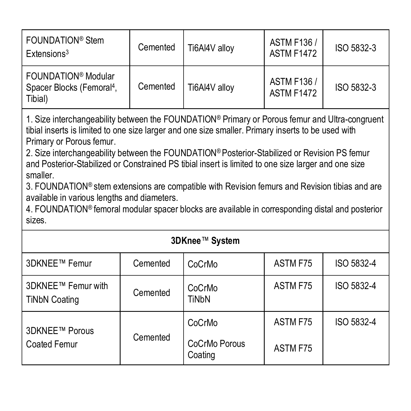| FOUNDATION <sup>®</sup> Stem<br>Extensions <sup>3</sup>                             | Cemented | Ti6Al4V allov | <b>ASTM F136 /</b><br><b>ASTM F1472</b> | ISO 5832-3 |
|-------------------------------------------------------------------------------------|----------|---------------|-----------------------------------------|------------|
| FOUNDATION <sup>®</sup> Modular<br>Spacer Blocks (Femoral <sup>4</sup> ,<br>Tibial) | Cemented | Ti6Al4V allov | <b>ASTM F136 /</b><br><b>ASTM F1472</b> | ISO 5832-3 |

1. Size interchangeability between the FOUNDATION® Primary or Porous femur and Ultra-congruent tibial inserts is limited to one size larger and one size smaller. Primary inserts to be used with Primary or Porous femur.

2. Size interchangeability between the FOUNDATION® Posterior-Stabilized or Revision PS femur and Posterior-Stabilized or Constrained PS tibial insert is limited to one size larger and one size smaller.

3. FOUNDATION® stem extensions are compatible with Revision femurs and Revision tibias and are available in various lengths and diameters.

4. FOUNDATION® femoral modular spacer blocks are available in corresponding distal and posterior sizes.

| 3DKnee™ System                             |          |                          |          |            |  |
|--------------------------------------------|----------|--------------------------|----------|------------|--|
| 3DKNEE™ Femur                              | Cemented | CoCrMo                   | ASTM F75 | ISO 5832-4 |  |
| 3DKNEE™ Femur with<br><b>TiNbN Coating</b> | Cemented | CoCrMo<br><b>TiNbN</b>   | ASTM F75 | ISO 5832-4 |  |
| 3DKNEE™ Porous<br><b>Coated Femur</b>      |          | CoCrMo                   | ASTM F75 | ISO 5832-4 |  |
|                                            | Cemented | CoCrMo Porous<br>Coating | ASTM F75 |            |  |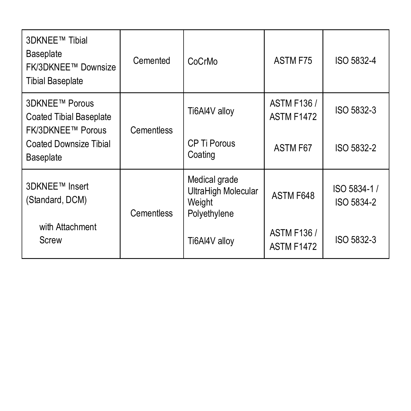| 3DKNEE™ Tibial<br>Baseplate<br>FK/3DKNEE™ Downsize<br><b>Tibial Baseplate</b> | Cemented   | CoCrMo                                                         | ASTM F75                                | ISO 5832-4                |
|-------------------------------------------------------------------------------|------------|----------------------------------------------------------------|-----------------------------------------|---------------------------|
| 3DKNEE™ Porous<br><b>Coated Tibial Baseplate</b><br><b>FK/3DKNEE™ Porous</b>  | Cementless | Ti6Al4V alloy                                                  | <b>ASTM F136 /</b><br><b>ASTM F1472</b> | ISO 5832-3                |
| <b>Coated Downsize Tibial</b><br>Baseplate                                    |            | CP Ti Porous<br>Coating                                        | ASTM F67                                | ISO 5832-2                |
| 3DKNEE™ Insert<br>(Standard, DCM)                                             | Cementless | Medical grade<br>UltraHigh Molecular<br>Weight<br>Polyethylene | ASTM F648                               | ISO 5834-1/<br>ISO 5834-2 |
| with Attachment<br>Screw                                                      |            | Ti6Al4V alloy                                                  | <b>ASTM F136 /</b><br><b>ASTM F1472</b> | ISO 5832-3                |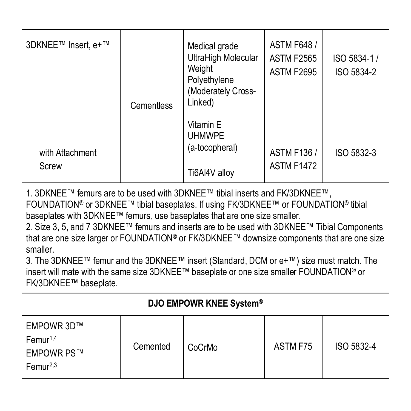| 3DKNEE™ Insert. e+™                                                                                                                                                                                                                                                                                                                                                                                                                                                                                                                                                                                                                                                                                    | Cementless | Medical grade<br>UltraHigh Molecular<br>Weight<br>Polyethylene<br>(Moderately Cross-<br>Linked) | <b>ASTM F648 /</b><br><b>ASTM F2565</b><br>ASTM F2695 | ISO 5834-1 /<br>ISO 5834-2 |
|--------------------------------------------------------------------------------------------------------------------------------------------------------------------------------------------------------------------------------------------------------------------------------------------------------------------------------------------------------------------------------------------------------------------------------------------------------------------------------------------------------------------------------------------------------------------------------------------------------------------------------------------------------------------------------------------------------|------------|-------------------------------------------------------------------------------------------------|-------------------------------------------------------|----------------------------|
| with Attachment<br>Screw                                                                                                                                                                                                                                                                                                                                                                                                                                                                                                                                                                                                                                                                               |            | Vitamin E<br><b>UHMWPF</b><br>(a-tocopheral)<br>Ti6Al4V alloy                                   | <b>ASTM F136 /</b><br><b>ASTM F1472</b>               | ISO 5832-3                 |
| 1. 3DKNEE™ femurs are to be used with 3DKNEE™ tibial inserts and FK/3DKNEE™,<br>FOUNDATION <sup>®</sup> or 3DKNEE™ tibial baseplates. If using FK/3DKNEE™ or FOUNDATION <sup>®</sup> tibial<br>baseplates with 3DKNEE™ femurs, use baseplates that are one size smaller.<br>2. Size 3, 5, and 7 3DKNEE™ femurs and inserts are to be used with 3DKNEE™ Tibial Components<br>that are one size larger or FOUNDATION® or FK/3DKNEE™ downsize components that are one size<br>smaller.<br>3. The 3DKNEE™ femur and the 3DKNEE™ insert (Standard, DCM or $e+™$ ) size must match. The<br>insert will mate with the same size 3DKNEE™ baseplate or one size smaller FOUNDATION® or<br>FK/3DKNEE™ baseplate. |            |                                                                                                 |                                                       |                            |
| DJO EMPOWR KNEE System®                                                                                                                                                                                                                                                                                                                                                                                                                                                                                                                                                                                                                                                                                |            |                                                                                                 |                                                       |                            |
| EMPOWR 3D™<br>Fermur <sup>1,4</sup><br><b>EMPOWR PS™</b><br>Femur <sup>2,3</sup>                                                                                                                                                                                                                                                                                                                                                                                                                                                                                                                                                                                                                       | Cemented   | CoCrMo                                                                                          | ASTM F75                                              | ISO 5832-4                 |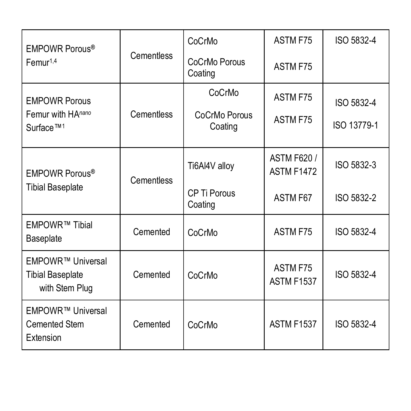| EMPOWR Porous <sup>®</sup>                                     |            | CoCrMo                   | ASTM F75                                | ISO 5832-4  |
|----------------------------------------------------------------|------------|--------------------------|-----------------------------------------|-------------|
| Fermur <sup>1,4</sup>                                          | Cementless | CoCrMo Porous<br>Coating | ASTM F75                                |             |
| <b>EMPOWR Porous</b>                                           |            | CoCrMo                   | ASTM F75                                | ISO 5832-4  |
| Femur with HAnano<br>Surface <sup>™1</sup>                     | Cementless | CoCrMo Porous<br>Coating | ASTM F75                                | ISO 13779-1 |
| EMPOWR Porous <sup>®</sup>                                     | Cementless | Ti6Al4V alloy            | <b>ASTM F620 /</b><br><b>ASTM F1472</b> | ISO 5832-3  |
| <b>Tibial Baseplate</b>                                        |            | CP Ti Porous<br>Coating  | ASTM F67                                | ISO 5832-2  |
| EMPOWR™ Tibial<br>Baseplate                                    | Cemented   | CoCrMo                   | ASTM F75                                | ISO 5832-4  |
| EMPOWR™ Universal<br><b>Tibial Baseplate</b><br>with Stem Plug | Cemented   | CoCrMo                   | ASTM F75<br>ASTM F1537                  | ISO 5832-4  |
| EMPOWR™ Universal<br>Cemented Stem<br>Extension                | Cemented   | CoCrMo                   | ASTM F1537                              | ISO 5832-4  |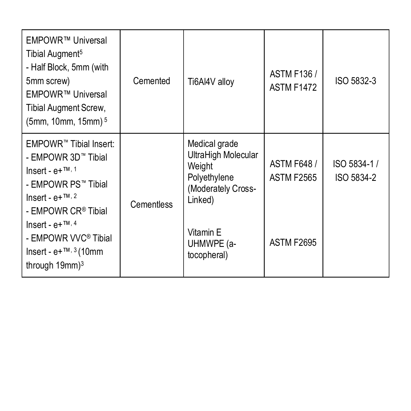| EMPOWR™ Universal<br>Tibial Augment <sup>5</sup><br>- Half Block, 5mm (with<br>5mm screw)<br>EMPOWR™ Universal<br>Tibial Augment Screw,<br>(5mm, 10mm, 15mm) <sup>5</sup> | Cemented   | Ti6Al4V alloy                                                                                   | <b>ASTM F136 /</b><br><b>ASTM F1472</b> | ISO 5832-3                |
|---------------------------------------------------------------------------------------------------------------------------------------------------------------------------|------------|-------------------------------------------------------------------------------------------------|-----------------------------------------|---------------------------|
| EMPOWR <sup>™</sup> Tibial Insert:<br>- EMPOWR 3D™ Tibial<br>Insert - $e+^{TM, 1}$<br>- EMPOWR PS™ Tibial<br>Insert - $e+^{TM, 2}$<br>- EMPOWR CR <sup>®</sup> Tibial     | Cementless | Medical grade<br>UltraHigh Molecular<br>Weight<br>Polyethylene<br>(Moderately Cross-<br>Linked) | <b>ASTM F648/</b><br><b>ASTM F2565</b>  | ISO 5834-1/<br>ISO 5834-2 |
| Insert - $e+^{TM, 4}$<br>- EMPOWR VVC <sup>®</sup> Tibial<br>lnsert - e+™, $3(10$ mm<br>through 19mm) <sup>3</sup>                                                        |            | Vitamin E<br>UHMWPE (a-<br>tocopheral)                                                          | <b>ASTM F2695</b>                       |                           |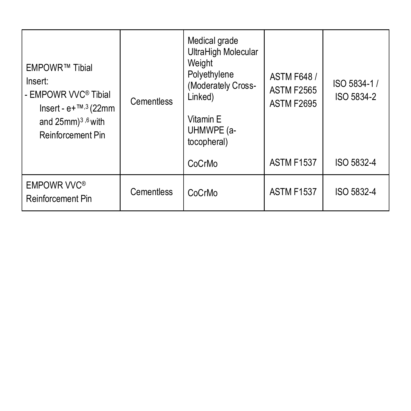| EMPOWR™ Tibial<br>Insert:<br>- EMPOWR VVC® Tibial<br>Insert - $e+™,3$ (22mm<br>and 25mm) <sup>3,6</sup> with<br>Reinforcement Pin | Cementless | Medical grade<br>UltraHigh Molecular<br>Weight<br>Polyethylene<br>(Moderately Cross-<br>Linked)<br>Vitamin E<br>UHMWPE (a-<br>tocopheral) | <b>ASTM F648 /</b><br><b>ASTM F2565</b><br><b>ASTM F2695</b> | ISO 5834-1 /<br>ISO 5834-2 |
|-----------------------------------------------------------------------------------------------------------------------------------|------------|-------------------------------------------------------------------------------------------------------------------------------------------|--------------------------------------------------------------|----------------------------|
|                                                                                                                                   |            | CoCrMo                                                                                                                                    | <b>ASTM F1537</b>                                            | ISO 5832-4                 |
| <b>EMPOWR VVC®</b><br>Reinforcement Pin                                                                                           | Cementless | CoCrMo                                                                                                                                    | <b>ASTM F1537</b>                                            | ISO 5832-4                 |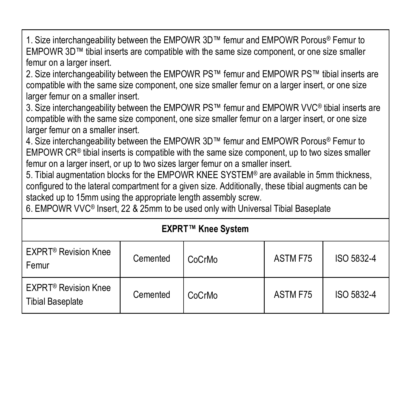1. Size interchangeability between the EMPOWR 3D™ femur and EMPOWR Porous® Femur to EMPOWR 3D™ tibial inserts are compatible with the same size component, or one size smaller femur on a larger insert.

2. Size interchangeability between the EMPOWR PS™ femur and EMPOWR PS™ tibial inserts are compatible with the same size component, one size smaller femur on a larger insert, or one size larger femur on a smaller insert.

3. Size interchangeability between the EMPOWR PS™ femur and EMPOWR VVC® tibial inserts are compatible with the same size component, one size smaller femur on a larger insert, or one size larger femur on a smaller insert.

4. Size interchangeability between the EMPOWR 3D™ femur and EMPOWR Porous® Femur to  $EMPOWR \, CR<sup>®</sup>$  tibial inserts is compatible with the same size component, up to two sizes smaller femur on a larger insert, or up to two sizes larger femur on a smaller insert.

5. Tibial augmentation blocks for the EMPOWR KNEE SYSTEM® are available in 5mm thickness, configured to the lateral compartment for a given size. Additionally, these tibial augments can be stacked up to 15mm using the appropriate length assembly screw.

6. EMPOWR VVC® Insert, 22 & 25mm to be used only with Universal Tibial Baseplate

| <b>EXPRT™ Knee System</b>                                         |          |        |          |            |  |
|-------------------------------------------------------------------|----------|--------|----------|------------|--|
| <b>EXPRT<sup>®</sup></b> Revision Knee<br>Femur                   | Cemented | CoCrMo | ASTM F75 | ISO 5832-4 |  |
| <b>EXPRT<sup>®</sup></b> Revision Knee<br><b>Tibial Baseplate</b> | Cemented | CoCrMo | ASTM F75 | ISO 5832-4 |  |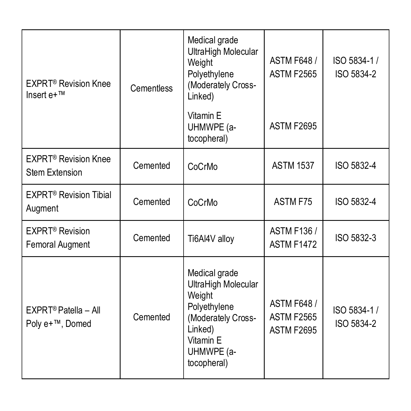| <b>EXPRT<sup>®</sup> Revision Knee</b><br>$Insert e+TM$  | Cementless | Medical grade<br>UltraHigh Molecular<br>Weight<br>Polyethylene<br>(Moderately Cross-<br>Linked)                                           | <b>ASTM F648 /</b><br><b>ASTM F2565</b>                     | ISO 5834-1 /<br>ISO 5834-2 |
|----------------------------------------------------------|------------|-------------------------------------------------------------------------------------------------------------------------------------------|-------------------------------------------------------------|----------------------------|
|                                                          |            | Vitamin F<br>UHMWPE (a-<br>tocopheral)                                                                                                    | <b>ASTM F2695</b>                                           |                            |
| <b>EXPRT<sup>®</sup> Revision Knee</b><br>Stem Extension | Cemented   | CoCrMo                                                                                                                                    | <b>ASTM 1537</b>                                            | ISO 5832-4                 |
| <b>EXPRT® Revision Tibial</b><br>Augment                 | Cemented   | CoCrMo                                                                                                                                    | ASTM F75                                                    | ISO 5832-4                 |
| EXPRT <sup>®</sup> Revision<br>Femoral Augment           | Cemented   | Ti6Al4V alloy                                                                                                                             | <b>ASTM F136 /</b><br><b>ASTM F1472</b>                     | ISO 5832-3                 |
| EXPRT <sup>®</sup> Patella - All<br>Poly e+™, Domed      | Cemented   | Medical grade<br>UltraHigh Molecular<br>Weight<br>Polyethylene<br>(Moderately Cross-<br>Linked)<br>Vitamin E<br>UHMWPE (a-<br>tocopheral) | <b>ASTM F648/</b><br><b>ASTM F2565</b><br><b>ASTM F2695</b> | ISO 5834-1 /<br>ISO 5834-2 |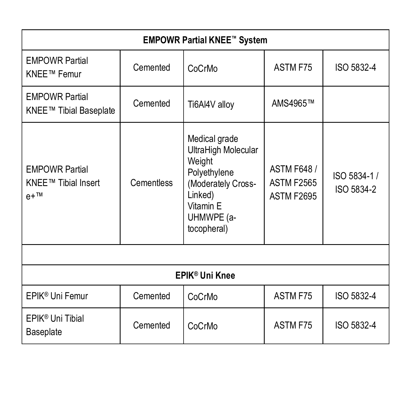| <b>EMPOWR Partial KNEE™ System</b>                     |            |                                                                                                                                           |                                                       |                            |
|--------------------------------------------------------|------------|-------------------------------------------------------------------------------------------------------------------------------------------|-------------------------------------------------------|----------------------------|
| <b>EMPOWR Partial</b><br>KNEE™ Femur                   | Cemented   | CoCrMo                                                                                                                                    | ASTM F75                                              | ISO 5832-4                 |
| <b>EMPOWR Partial</b><br>KNEE™ Tibial Baseplate        | Cemented   | Ti6Al4V alloy                                                                                                                             | AMS4965™                                              |                            |
| <b>EMPOWR Partial</b><br>KNEE™ Tibial Insert<br>$e+TM$ | Cementless | Medical grade<br>UltraHigh Molecular<br>Weight<br>Polyethylene<br>(Moderately Cross-<br>Linked)<br>Vitamin E<br>UHMWPE (a-<br>tocopheral) | <b>ASTM F648 /</b><br>ASTM F2565<br><b>ASTM F2695</b> | ISO 5834-1 /<br>ISO 5834-2 |
|                                                        |            |                                                                                                                                           |                                                       |                            |
| EPIK <sup>®</sup> Uni Knee                             |            |                                                                                                                                           |                                                       |                            |
| EPIK <sup>®</sup> Uni Femur                            | Cemented   | CoCrMo                                                                                                                                    | ASTM F75                                              | ISO 5832-4                 |
| EPIK <sup>®</sup> Uni Tibial<br>Baseplate              | Cemented   | CoCrMo                                                                                                                                    | ASTM F75                                              | ISO 5832-4                 |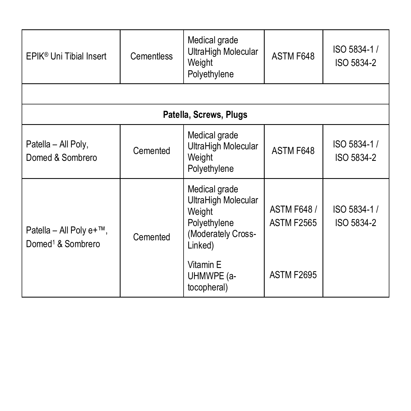| EPIK® Uni Tibial Insert                                         | <b>Cementless</b> | Medical grade<br>UltraHigh Molecular<br>Weight<br>Polyethylene                                               | ASTM F648                              | ISO 5834-1 /<br>ISO 5834-2 |
|-----------------------------------------------------------------|-------------------|--------------------------------------------------------------------------------------------------------------|----------------------------------------|----------------------------|
|                                                                 |                   |                                                                                                              |                                        |                            |
| Patella, Screws, Plugs                                          |                   |                                                                                                              |                                        |                            |
| Patella - All Poly,<br>Domed & Sombrero                         | Cemented          | Medical grade<br>UltraHigh Molecular<br>Weight<br>Polyethylene                                               | ASTM F648                              | ISO 5834-1 /<br>ISO 5834-2 |
| Patella - All Poly $e+^{TM}$ ,<br>Domed <sup>1</sup> & Sombrero | Cemented          | Medical grade<br>UltraHigh Molecular<br>Weight<br>Polyethylene<br>(Moderately Cross-<br>Linked)<br>Vitamin E | <b>ASTM F648/</b><br><b>ASTM F2565</b> | ISO 5834-1 /<br>ISO 5834-2 |
|                                                                 |                   | UHMWPE (a-<br>tocopheral)                                                                                    | ASTM F2695                             |                            |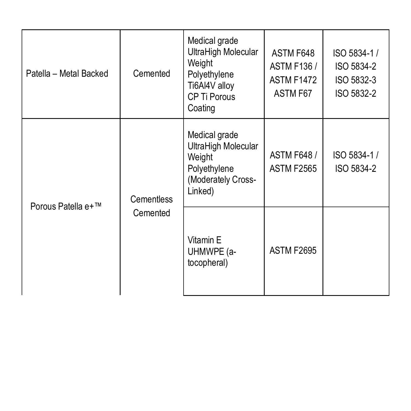| Patella - Metal Backed                       | Cemented                               | Medical grade<br>UltraHigh Molecular<br>Weight<br>Polyethylene<br>Ti6Al4V alloy<br>CP Ti Porous<br>Coating | ASTM F648<br><b>ASTM F136 /</b><br><b>ASTM F1472</b><br>ASTM F67 | ISO 5834-1 /<br>ISO 5834-2<br>ISO 5832-3<br>ISO 5832-2 |
|----------------------------------------------|----------------------------------------|------------------------------------------------------------------------------------------------------------|------------------------------------------------------------------|--------------------------------------------------------|
| Cementless<br>Porous Patella e+™<br>Cemented |                                        | Medical grade<br>UltraHigh Molecular<br>Weight<br>Polyethylene<br>(Moderately Cross-<br>Linked)            | <b>ASTM F648 /</b><br><b>ASTM F2565</b>                          | ISO 5834-1 /<br>ISO 5834-2                             |
|                                              | Vitamin E<br>UHMWPE (a-<br>tocopheral) | <b>ASTM F2695</b>                                                                                          |                                                                  |                                                        |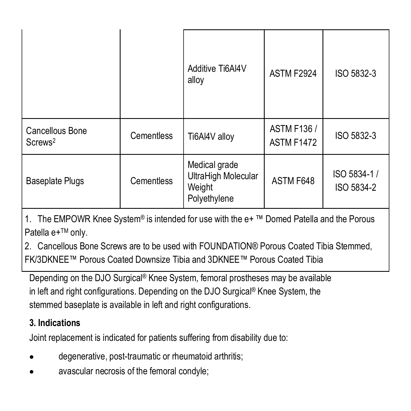|                                        |            | Additive Ti6Al4V<br>alloy                                      | <b>ASTM F2924</b>                | ISO 5832-3                 |
|----------------------------------------|------------|----------------------------------------------------------------|----------------------------------|----------------------------|
| Cancellous Bone<br>Screws <sup>2</sup> | Cementless | Ti6Al4V alloy                                                  | <b>ASTM F136 /</b><br>ASTM F1472 | ISO 5832-3                 |
| <b>Baseplate Plugs</b>                 | Cementless | Medical grade<br>UltraHigh Molecular<br>Weight<br>Polyethylene | ASTM F648                        | ISO 5834-1 /<br>ISO 5834-2 |

1. The EMPOWR Knee System® is intended for use with the e+ ™ Domed Patella and the Porous Patella e+™ onlv.

2. Cancellous Bone Screws are to be used with FOUNDATION® Porous Coated Tibia Stemmed, FK/3DKNEE™ Porous Coated Downsize Tibia and 3DKNEE™ Porous Coated Tibia

Depending on the DJO Surgical® Knee System, femoral prostheses may be available in left and right configurations. Depending on the DJO Surgical<sup>®</sup> Knee System, the stemmed baseplate is available in left and right configurations.

# **3. Indications**

Joint replacement is indicated for patients suffering from disability due to:

- degenerative, post-traumatic or rheumatoid arthritis;
- avascular necrosis of the femoral condyle;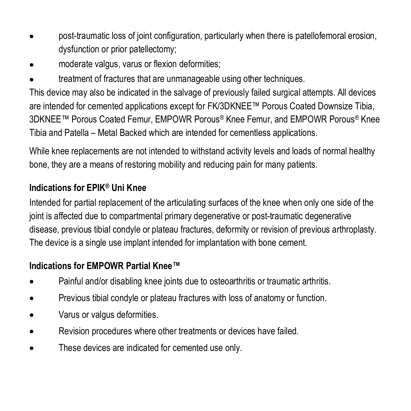- post-traumatic loss of joint configuration, particularly when there is patellofemoral erosion, dysfunction or prior patellectomy;
- moderate valgus, varus or flexion deformities;
- treatment of fractures that are unmanageable using other techniques.

This device may also be indicated in the salvage of previously failed surgical attempts. All devices are intended for cemented applications except for FK/3DKNEE™ Porous Coated Downsize Tibia. 3DKNEE™ Porous Coated Femur, EMPOWR Porous® Knee Femur, and EMPOWR Porous® Knee Tibia and Patella – Metal Backed which are intended for cementless applications.

While knee replacements are not intended to withstand activity levels and loads of normal healthy bone, they are a means of restoring mobility and reducing pain for many patients.

# **Indications for EPIK® Uni Knee**

Intended for partial replacement of the articulating surfaces of the knee when only one side of the joint is affected due to compartmental primary degenerative or post-traumatic degenerative disease, previous tibial condyle or plateau fractures, deformity or revision of previous arthroplasty. The device is a single use implant intended for implantation with bone cement.

# **Indications for EMPOWR Partial Knee™**

- Painful and/or disabling knee joints due to osteoarthritis or traumatic arthritis.
- Previous tibial condyle or plateau fractures with loss of anatomy or function.
- Varus or valgus deformities.
- Revision procedures where other treatments or devices have failed.
- These devices are indicated for cemented use only.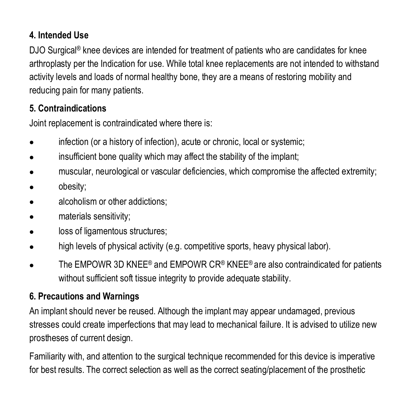# **4. Intended Use**

DJO Surgical<sup>®</sup> knee devices are intended for treatment of patients who are candidates for knee arthroplasty per the Indication for use. While total knee replacements are not intended to withstand activity levels and loads of normal healthy bone, they are a means of restoring mobility and reducing pain for many patients.

### **5. Contraindications**

Joint replacement is contraindicated where there is:

- infection (or a history of infection), acute or chronic, local or systemic;
- insufficient bone quality which may affect the stability of the implant;
- muscular, neurological or vascular deficiencies, which compromise the affected extremity;
- obesity;
- alcoholism or other addictions;
- materials sensitivity;
- loss of ligamentous structures;
- high levels of physical activity (e.g. competitive sports, heavy physical labor).
- The EMPOWR 3D KNEE® and EMPOWR CR® KNEE® are also contraindicated for patients without sufficient soft tissue integrity to provide adequate stability.

#### **6. Precautions and Warnings**

An implant should never be reused. Although the implant may appear undamaged, previous stresses could create imperfections that may lead to mechanical failure. It is advised to utilize new prostheses of current design.

Familiarity with, and attention to the surgical technique recommended for this device is imperative for best results. The correct selection as well as the correct seating/placement of the prosthetic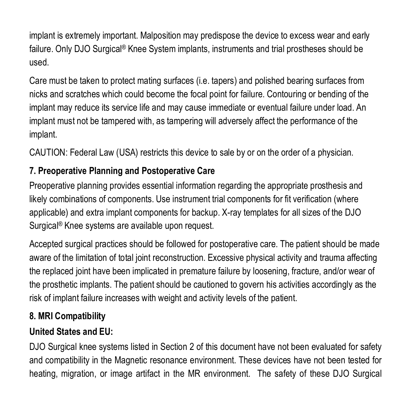implant is extremely important. Malposition may predispose the device to excess wear and early failure. Only DJO Surgical® Knee System implants, instruments and trial prostheses should be used.

Care must be taken to protect mating surfaces (i.e. tapers) and polished bearing surfaces from nicks and scratches which could become the focal point for failure. Contouring or bending of the implant may reduce its service life and may cause immediate or eventual failure under load. An implant must not be tampered with, as tampering will adversely affect the performance of the implant.

CAUTION: Federal Law (USA) restricts this device to sale by or on the order of a physician.

# **7. Preoperative Planning and Postoperative Care**

Preoperative planning provides essential information regarding the appropriate prosthesis and likely combinations of components. Use instrument trial components for fit verification (where applicable) and extra implant components for backup. X-ray templates for all sizes of the DJO Surgical<sup>®</sup> Knee systems are available upon request.

Accepted surgical practices should be followed for postoperative care. The patient should be made aware of the limitation of total joint reconstruction. Excessive physical activity and trauma affecting the replaced joint have been implicated in premature failure by loosening, fracture, and/or wear of the prosthetic implants. The patient should be cautioned to govern his activities accordingly as the risk of implant failure increases with weight and activity levels of the patient.

#### **8. MRI Compatibility**

# **United States and EU:**

DJO Surgical knee systems listed in Section 2 of this document have not been evaluated for safety and compatibility in the Magnetic resonance environment. These devices have not been tested for heating, migration, or image artifact in the MR environment. The safety of these DJO Surgical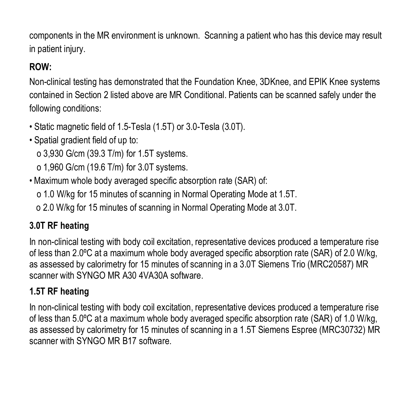components in the MR environment is unknown. Scanning a patient who has this device may result in patient injury.

# **ROW:**

Non-clinical testing has demonstrated that the Foundation Knee, 3DKnee, and EPIK Knee systems contained in Section 2 listed above are MR Conditional. Patients can be scanned safely under the following conditions:

- Static magnetic field of 1.5-Tesla (1.5T) or 3.0-Tesla (3.0T).
- Spatial gradient field of up to:

o 3,930 G/cm (39.3 T/m) for 1.5T systems.

o 1,960 G/cm (19.6 T/m) for 3.0T systems.

• Maximum whole body averaged specific absorption rate (SAR) of:

o 1.0 W/kg for 15 minutes of scanning in Normal Operating Mode at 1.5T.

o 2.0 W/kg for 15 minutes of scanning in Normal Operating Mode at 3.0T.

# **3.0T RF heating**

In non-clinical testing with body coil excitation, representative devices produced a temperature rise of less than 2.0ºC at a maximum whole body averaged specific absorption rate (SAR) of 2.0 W/kg, as assessed by calorimetry for 15 minutes of scanning in a 3.0T Siemens Trio (MRC20587) MR scanner with SYNGO MR A30 4VA30A software.

# **1.5T RF heating**

In non-clinical testing with body coil excitation, representative devices produced a temperature rise of less than 5.0ºC at a maximum whole body averaged specific absorption rate (SAR) of 1.0 W/kg, as assessed by calorimetry for 15 minutes of scanning in a 1.5T Siemens Espree (MRC30732) MR scanner with SYNGO MR B17 software.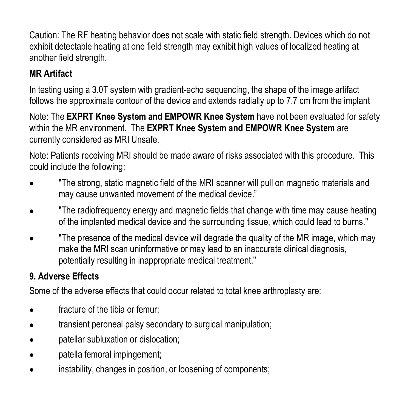Caution: The RF heating behavior does not scale with static field strength. Devices which do not exhibit detectable heating at one field strength may exhibit high values of localized heating at another field strength.

# **MR Artifact**

In testing using a 3.0T system with gradient-echo sequencing, the shape of the image artifact follows the approximate contour of the device and extends radially up to 7.7 cm from the implant

Note: The **EXPRT Knee System and EMPOWR Knee System** have not been evaluated for safety within the MR environment. The **EXPRT Knee System and EMPOWR Knee System** are currently considered as MRI Unsafe.

Note: Patients receiving MRI should be made aware of risks associated with this procedure. This could include the following:

- "The strong, static magnetic field of the MRI scanner will pull on magnetic materials and may cause unwanted movement of the medical device."
- "The radiofrequency energy and magnetic fields that change with time may cause heating of the implanted medical device and the surrounding tissue, which could lead to burns."
- "The presence of the medical device will degrade the quality of the MR image, which may make the MRI scan uninformative or may lead to an inaccurate clinical diagnosis. potentially resulting in inappropriate medical treatment."

# **9. Adverse Effects**

Some of the adverse effects that could occur related to total knee arthroplasty are:

- fracture of the tibia or femur;
- transient peroneal palsy secondary to surgical manipulation;
- patellar subluxation or dislocation;
- patella femoral impingement;
- instability, changes in position, or loosening of components;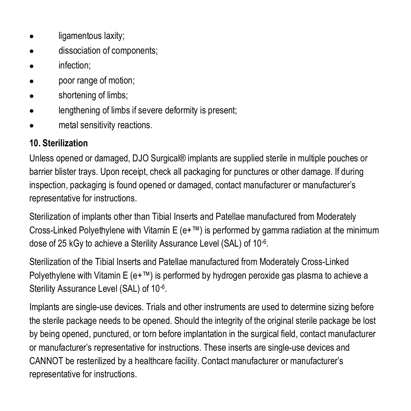- ligamentous laxity;
- dissociation of components:
- infection;
- poor range of motion;
- shortening of limbs;
- lengthening of limbs if severe deformity is present;
- metal sensitivity reactions.

# **10. Sterilization**

Unless opened or damaged, DJO Surgical® implants are supplied sterile in multiple pouches or barrier blister trays. Upon receipt, check all packaging for punctures or other damage. If during inspection, packaging is found opened or damaged, contact manufacturer or manufacturer's representative for instructions.

Sterilization of implants other than Tibial Inserts and Patellae manufactured from Moderately Cross-Linked Polyethylene with Vitamin E  $(e+™)$  is performed by gamma radiation at the minimum dose of 25 kGy to achieve a Sterility Assurance Level (SAL) of 10-6.

Sterilization of the Tibial Inserts and Patellae manufactured from Moderately Cross-Linked Polyethylene with Vitamin E  $(e+T_M)$  is performed by hydrogen peroxide gas plasma to achieve a Sterility Assurance Level (SAL) of 10-6.

Implants are single-use devices. Trials and other instruments are used to determine sizing before the sterile package needs to be opened. Should the integrity of the original sterile package be lost by being opened, punctured, or torn before implantation in the surgical field, contact manufacturer or manufacturer's representative for instructions. These inserts are single-use devices and CANNOT be resterilized by a healthcare facility. Contact manufacturer or manufacturer's representative for instructions.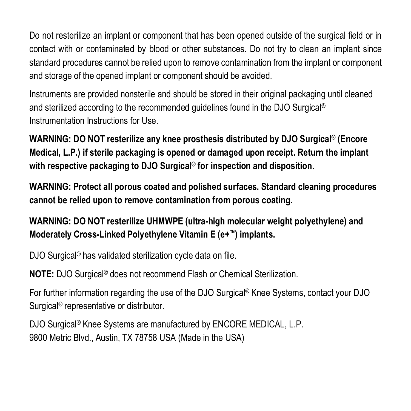Do not resterilize an implant or component that has been opened outside of the surgical field or in contact with or contaminated by blood or other substances. Do not try to clean an implant since standard procedures cannot be relied upon to remove contamination from the implant or component and storage of the opened implant or component should be avoided.

Instruments are provided nonsterile and should be stored in their original packaging until cleaned and sterilized according to the recommended guidelines found in the DJO Surgical® Instrumentation Instructions for Use.

**WARNING: DO NOT resterilize any knee prosthesis distributed by DJO Surgical® (Encore Medical, L.P.) if sterile packaging is opened or damaged upon receipt. Return the implant with respective packaging to DJO Surgical® for inspection and disposition.**

**WARNING: Protect all porous coated and polished surfaces. Standard cleaning procedures cannot be relied upon to remove contamination from porous coating.**

**WARNING: DO NOT resterilize UHMWPE (ultra-high molecular weight polyethylene) and Moderately Cross-Linked Polyethylene Vitamin E (e+™) implants.**

DJO Surgical<sup>®</sup> has validated sterilization cycle data on file.

**NOTE:** DJO Surgical® does not recommend Flash or Chemical Sterilization.

For further information regarding the use of the DJO Surgical® Knee Systems, contact your DJO Surgical<sup>®</sup> representative or distributor.

DJO Surgical<sup>®</sup> Knee Systems are manufactured by ENCORE MEDICAL, L.P. 9800 Metric Blvd., Austin, TX 78758 USA (Made in the USA)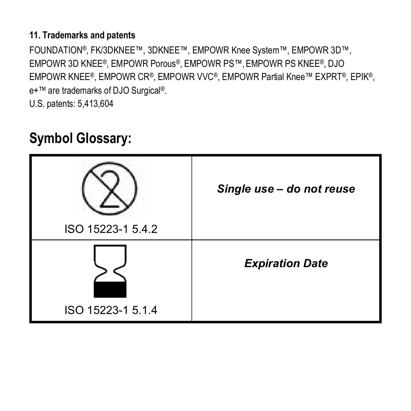# **11. Trademarks and patents**

FOUNDATION®, FK/3DKNEE™, 3DKNEE™, EMPOWR Knee System™, EMPOWR 3D™, EMPOWR 3D KNEE®, EMPOWR Porous®, EMPOWR PS™, EMPOWR PS KNEE®, DJO EMPOWR KNEE®, EMPOWR CR®, EMPOWR VVC®, EMPOWR Partial Knee™ EXPRT®, EPIK®, e+™ are trademarks of DJO Surgical®.

U.S. patents: 5,413,604

# **Symbol Glossary:**

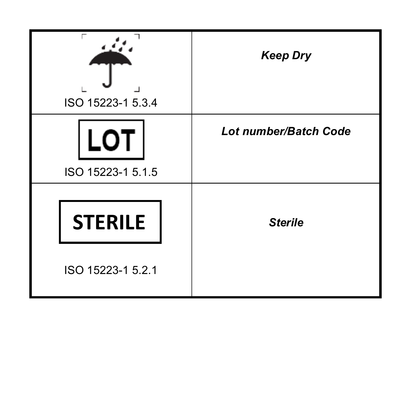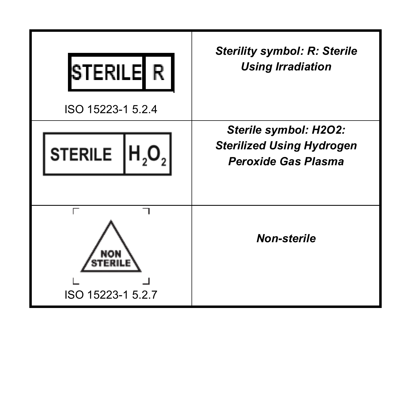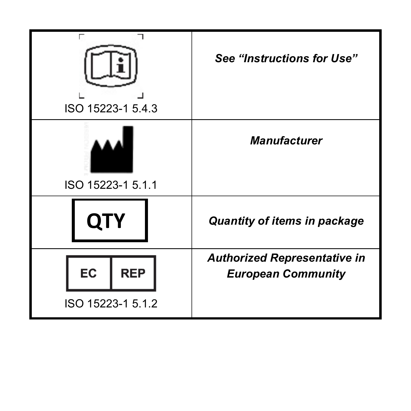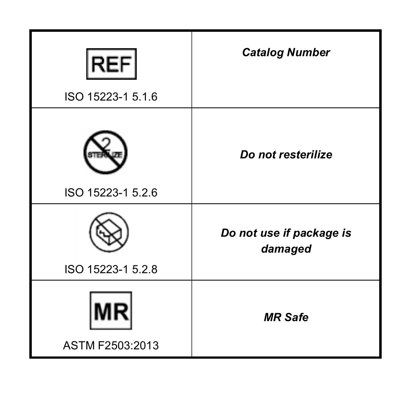| <b>REF</b><br>ISO 15223-1 5.1.6 | <b>Catalog Number</b>               |
|---------------------------------|-------------------------------------|
| ISO 15223-1 5.2.6               | Do not resterilize                  |
| ISO 15223-1 5.2.8               | Do not use if package is<br>damaged |
| ASTM F2503:2013                 | <b>MR</b> Safe                      |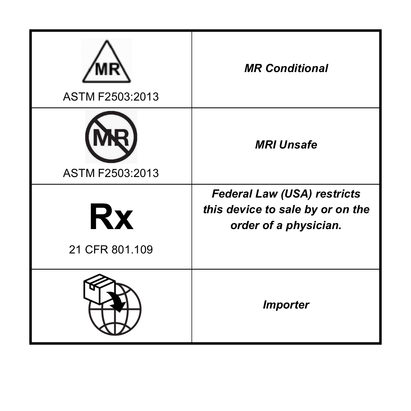| ASTM F2503:2013      | <b>MR Conditional</b>                                                                           |
|----------------------|-------------------------------------------------------------------------------------------------|
| ASTM F2503:2013      | <b>MRI Unsafe</b>                                                                               |
| Rx<br>21 CFR 801.109 | <b>Federal Law (USA) restricts</b><br>this device to sale by or on the<br>order of a physician. |
|                      | <b>Importer</b>                                                                                 |